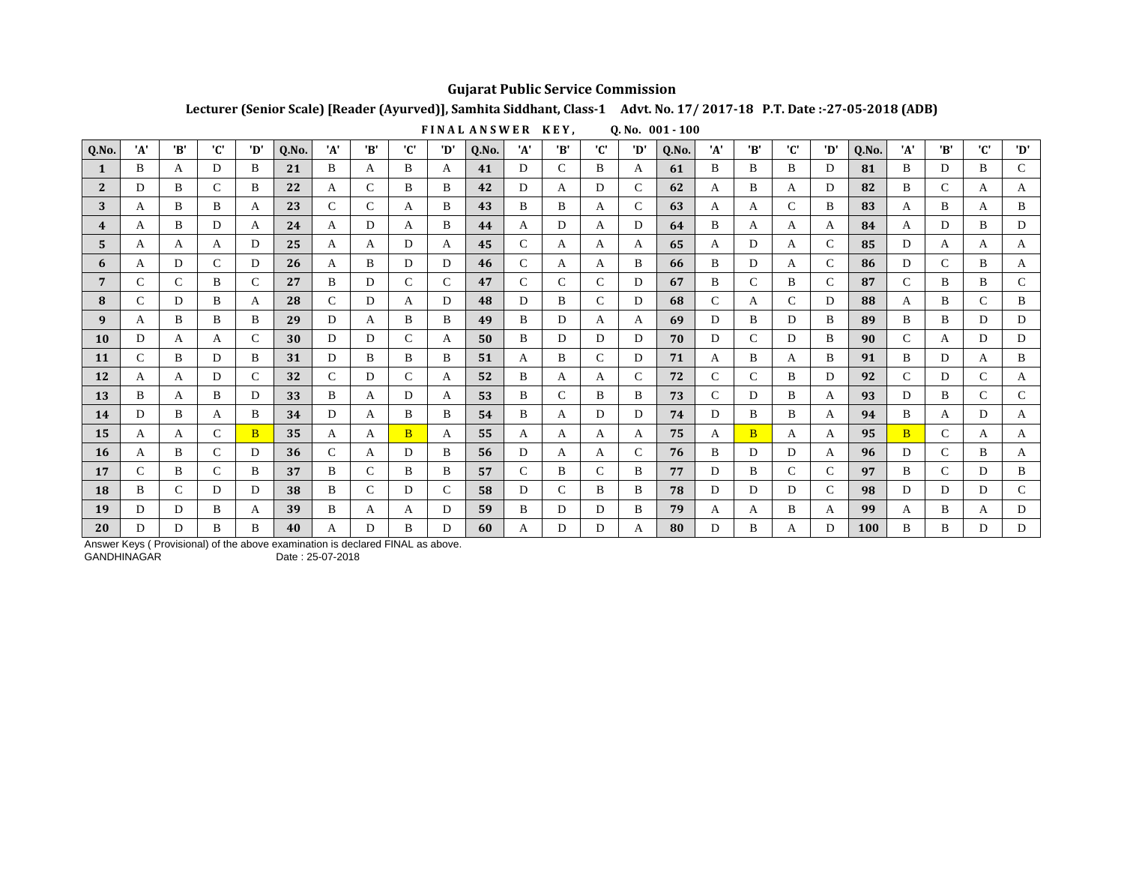## **Gujarat Public Service Commission**

Lecturer (Senior Scale) [Reader (Ayurved)], Samhita Siddhant, Class-1 Advt. No. 17/2017-18 P.T. Date:-27-05-2018 (ADB)

FINAL ANSWER KEY,  $0. No. 001 - 100$ 

| Q.No.          | 'A' | 'B'           | 'C'           | 'D'          | Q.No. | 'A'           | 'B'           | 'C'           | 'D' | Q.No. | 'A'           | 'B' | 'C' | 'D' | Q.No. | 'A'         | 'B'           | 'C' | 'D'           | Q.No. | 'A'           | 'B' | 'C'           | 'D'          |
|----------------|-----|---------------|---------------|--------------|-------|---------------|---------------|---------------|-----|-------|---------------|-----|-----|-----|-------|-------------|---------------|-----|---------------|-------|---------------|-----|---------------|--------------|
| 1              | B   | А             | D             | B            | 21    | B             | A             | B             | A   | 41    | D             | C   | B   | А   | 61    | B           | B             | B   | D             | 81    | B             | D   | B             | $\mathsf{C}$ |
| $\overline{2}$ | D   | B             | $\mathbf C$   | B            | 22    | А             | $\mathcal{C}$ | B             | B   | 42    | D             | A   | D   | C   | 62    | A           | B             | A   | D             | 82    | B             | C   | A             | A            |
| 3              | A   | B             | B             | A            | 23    | C             | C             | A             | B   | 43    | B             | B   | A   | C   | 63    | A           | A             | C   | B             | 83    | A             | B   | A             | B            |
| 4              | A   | B             | D             | A            | 24    | A             | D             | A             | B   | 44    | A             | D   | A   | D   | 64    | B           | A             | A   | A             | 84    | A             | D   | B             | D            |
| 5              | A   | A             | A             | D            | 25    | A             | A             | D             | A   | 45    | $\mathcal{C}$ | A   | A   | A   | 65    | A           | D             | A   | C             | 85    | D             | A   | A             | A            |
| 6              | A   | D             | $\mathcal{C}$ | D            | 26    | A             | B             | D             | D   | 46    | C             | A   | A   | B   | 66    | B           | D             | A   | C             | 86    | D             | C   | B             | A            |
| 7              | C.  | C             | B             | C            | 27    | B             | D             | C             | C   | 47    | C             | C   | C   | D   | 67    | B           | $\mathcal{C}$ | B   | C             | 87    | C             | B   | B             | $\mathsf{C}$ |
| 8              | C   | D             | B             | A            | 28    | C             | D             | A             | D   | 48    | D             | B   | C   | D   | 68    | $\mathbf C$ | A             | C   | D             | 88    | A             | B   | $\mathcal{C}$ | B            |
| 9              | А   | B             | B             | B            | 29    | D             | A             | B             | B   | 49    | B             | D   | A   | A   | 69    | D           | B             | D   | B             | 89    | B             | B   | D             | D            |
| 10             | D   | A             | A             | C            | 30    | D             | D             | $\mathcal{C}$ | A   | 50    | B             | D   | D   | D   | 70    | D           | C             | D   | B             | 90    | C             | A   | D             | D            |
| 11             | C   | B             | D             | B            | 31    | D             | B             | B             | B   | 51    | A             | B   | C   | D   | 71    | А           | B             | A   | B             | 91    | B             | D   | A             | B            |
| 12             | А   | A             | D             | C            | 32    | $\mathcal{C}$ | D             | C             | A   | 52    | B             | A   | A   | C   | 72    | C           | C             | B   | D             | 92    | $\mathcal{C}$ | D   | C             | A            |
| 13             | B   | А             | B             | D            | 33    | B             | A             | D             | A   | 53    | B             |     | B   | B   | 73    | C           | D             | B   | A             | 93    | D             | B   | C             | $\mathsf{C}$ |
| 14             | D   | R             | A             | B            | 34    | D             | A             | B             | B   | 54    | B             | A   | D   | D   | 74    | D           | B             | B   | A             | 94    | B             | A   | D             | A            |
| 15             | А   | А             | C             | <sub>B</sub> | 35    | А             | A             | B             | A   | 55    | A             | A   | A   | A   | 75    | А           | B             | A   | A             | 95    | <sub>B</sub>  | C   | A             | A            |
| <b>16</b>      | А   | B             | $\mathcal{C}$ | D            | 36    | C             | A             | D             | B   | 56    | D             | A   | A   | C   | 76    | B           | D             | D   | A             | 96    | D             | C   | B             | A            |
| 17             |     | B             | $\mathcal{C}$ | B            | 37    | B             | C             | B             | B   | 57    | C             | B   | C   | B   | 77    | D           | B             | C   | C             | 97    | B             | C   | D             | B            |
| 18             | B   | $\mathcal{C}$ | D             | D            | 38    | B             | $\mathcal{C}$ | D             | C   | 58    | D             | C   | B   | B   | 78    | D           | D             | D   | $\mathcal{C}$ | 98    | D             | D   | D             | $\mathsf{C}$ |
| 19             | D   | D             | B             | А            | 39    | B             | A             | A             | D   | 59    | B             | D   | D   | B   | 79    | А           | A             | B   | A             | 99    | A             | B   | A             | D            |
| 20             | D   | D             | B             | R            | 40    | А             | D             | B             | D   | 60    | A             | D   | D   | А   | 80    | D           | B             | A   | D             | 100   | B             | B   | D             | D            |

Answer Keys (Provisional) of the above examination is declared FINAL as above.

GANDHINAGAR

Date: 25-07-2018